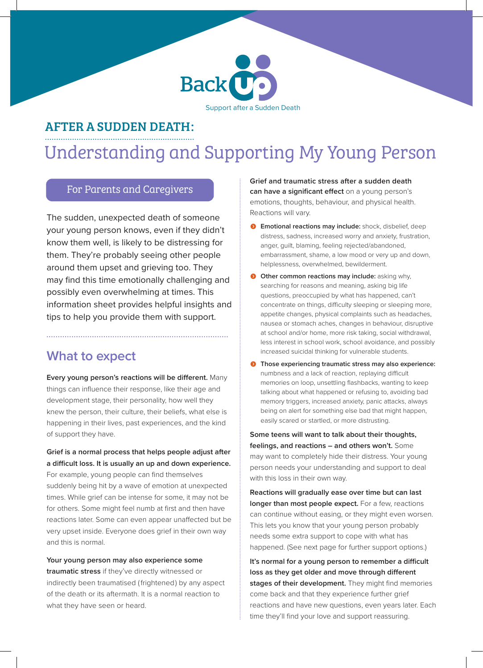

### AFTER A SUDDEN DEATH:

# Understanding and Supporting My Young Person

#### For Parents and Caregivers

The sudden, unexpected death of someone your young person knows, even if they didn't know them well, is likely to be distressing for them. They're probably seeing other people around them upset and grieving too. They may find this time emotionally challenging and possibly even overwhelming at times. This information sheet provides helpful insights and tips to help you provide them with support.

## **What to expect**

**Every young person's reactions will be different.** Many things can influence their response, like their age and development stage, their personality, how well they knew the person, their culture, their beliefs, what else is happening in their lives, past experiences, and the kind of support they have.

**Grief is a normal process that helps people adjust after a difficult loss. It is usually an up and down experience.**  For example, young people can find themselves suddenly being hit by a wave of emotion at unexpected times. While grief can be intense for some, it may not be for others. Some might feel numb at first and then have reactions later. Some can even appear unaffected but be very upset inside. Everyone does grief in their own way and this is normal.

**Your young person may also experience some traumatic stress** if they've directly witnessed or indirectly been traumatised (frightened) by any aspect of the death or its aftermath. It is a normal reaction to what they have seen or heard.

**Grief and traumatic stress after a sudden death can have a significant effect** on a young person's emotions, thoughts, behaviour, and physical health. Reactions will vary.

- **O** Emotional reactions may include: shock, disbelief, deep distress, sadness, increased worry and anxiety, frustration, anger, guilt, blaming, feeling rejected/abandoned, embarrassment, shame, a low mood or very up and down, helplessness, overwhelmed, bewilderment.
- **Other common reactions may include:** asking why, searching for reasons and meaning, asking big life questions, preoccupied by what has happened, can't concentrate on things, difficulty sleeping or sleeping more, appetite changes, physical complaints such as headaches, nausea or stomach aches, changes in behaviour, disruptive at school and/or home, more risk taking, social withdrawal, less interest in school work, school avoidance, and possibly increased suicidal thinking for vulnerable students.
- **<sup>1</sup> Those experiencing traumatic stress may also experience:** numbness and a lack of reaction, replaying difficult memories on loop, unsettling flashbacks, wanting to keep talking about what happened or refusing to, avoiding bad memory triggers, increased anxiety, panic attacks, always being on alert for something else bad that might happen, easily scared or startled, or more distrusting.

**Some teens will want to talk about their thoughts, feelings, and reactions – and others won't.** Some may want to completely hide their distress. Your young person needs your understanding and support to deal with this loss in their own way.

**Reactions will gradually ease over time but can last**  longer than most people expect. For a few, reactions can continue without easing, or they might even worsen. This lets you know that your young person probably needs some extra support to cope with what has happened. (See next page for further support options.)

**It's normal for a young person to remember a difficult loss as they get older and move through different stages of their development.** They might find memories come back and that they experience further grief reactions and have new questions, even years later. Each time they'll find your love and support reassuring.